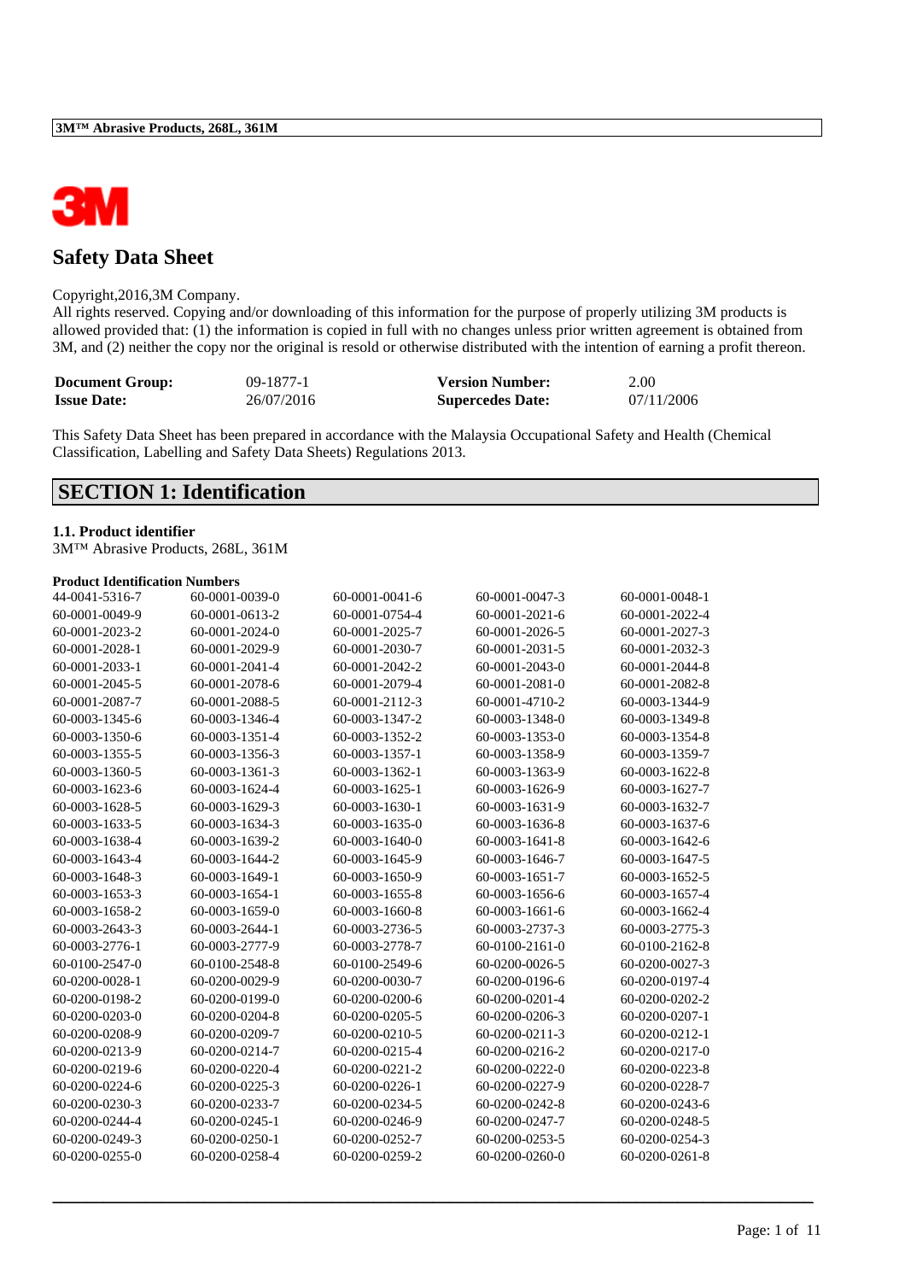

### **Safety Data Sheet**

#### Copyright,2016,3M Company.

All rights reserved. Copying and/or downloading of this information for the purpose of properly utilizing 3M products is allowed provided that: (1) the information is copied in full with no changes unless prior written agreement is obtained from 3M, and (2) neither the copy nor the original is resold or otherwise distributed with the intention of earning a profit thereon.

| <b>Document Group:</b> | $09-1877-1$ | <b>Version Number:</b>  | 2.00       |
|------------------------|-------------|-------------------------|------------|
| <b>Issue Date:</b>     | 26/07/2016  | <b>Supercedes Date:</b> | 07/11/2006 |

This Safety Data Sheet has been prepared in accordance with the Malaysia Occupational Safety and Health (Chemical Classification, Labelling and Safety Data Sheets) Regulations 2013.

### **SECTION 1: Identification**

## **1.1. Product identifier**

3M™ Abrasive Products, 268L, 361M

#### **Product Identification Numbers**

| 44-0041-5316-7 | 60-0001-0039-0 | 60-0001-0041-6 | 60-0001-0047-3 | 60-0001-0048-1 |
|----------------|----------------|----------------|----------------|----------------|
| 60-0001-0049-9 | 60-0001-0613-2 | 60-0001-0754-4 | 60-0001-2021-6 | 60-0001-2022-4 |
| 60-0001-2023-2 | 60-0001-2024-0 | 60-0001-2025-7 | 60-0001-2026-5 | 60-0001-2027-3 |
| 60-0001-2028-1 | 60-0001-2029-9 | 60-0001-2030-7 | 60-0001-2031-5 | 60-0001-2032-3 |
| 60-0001-2033-1 | 60-0001-2041-4 | 60-0001-2042-2 | 60-0001-2043-0 | 60-0001-2044-8 |
| 60-0001-2045-5 | 60-0001-2078-6 | 60-0001-2079-4 | 60-0001-2081-0 | 60-0001-2082-8 |
| 60-0001-2087-7 | 60-0001-2088-5 | 60-0001-2112-3 | 60-0001-4710-2 | 60-0003-1344-9 |
| 60-0003-1345-6 | 60-0003-1346-4 | 60-0003-1347-2 | 60-0003-1348-0 | 60-0003-1349-8 |
| 60-0003-1350-6 | 60-0003-1351-4 | 60-0003-1352-2 | 60-0003-1353-0 | 60-0003-1354-8 |
| 60-0003-1355-5 | 60-0003-1356-3 | 60-0003-1357-1 | 60-0003-1358-9 | 60-0003-1359-7 |
| 60-0003-1360-5 | 60-0003-1361-3 | 60-0003-1362-1 | 60-0003-1363-9 | 60-0003-1622-8 |
| 60-0003-1623-6 | 60-0003-1624-4 | 60-0003-1625-1 | 60-0003-1626-9 | 60-0003-1627-7 |
| 60-0003-1628-5 | 60-0003-1629-3 | 60-0003-1630-1 | 60-0003-1631-9 | 60-0003-1632-7 |
| 60-0003-1633-5 | 60-0003-1634-3 | 60-0003-1635-0 | 60-0003-1636-8 | 60-0003-1637-6 |
| 60-0003-1638-4 | 60-0003-1639-2 | 60-0003-1640-0 | 60-0003-1641-8 | 60-0003-1642-6 |
| 60-0003-1643-4 | 60-0003-1644-2 | 60-0003-1645-9 | 60-0003-1646-7 | 60-0003-1647-5 |
| 60-0003-1648-3 | 60-0003-1649-1 | 60-0003-1650-9 | 60-0003-1651-7 | 60-0003-1652-5 |
| 60-0003-1653-3 | 60-0003-1654-1 | 60-0003-1655-8 | 60-0003-1656-6 | 60-0003-1657-4 |
| 60-0003-1658-2 | 60-0003-1659-0 | 60-0003-1660-8 | 60-0003-1661-6 | 60-0003-1662-4 |
| 60-0003-2643-3 | 60-0003-2644-1 | 60-0003-2736-5 | 60-0003-2737-3 | 60-0003-2775-3 |
| 60-0003-2776-1 | 60-0003-2777-9 | 60-0003-2778-7 | 60-0100-2161-0 | 60-0100-2162-8 |
| 60-0100-2547-0 | 60-0100-2548-8 | 60-0100-2549-6 | 60-0200-0026-5 | 60-0200-0027-3 |
| 60-0200-0028-1 | 60-0200-0029-9 | 60-0200-0030-7 | 60-0200-0196-6 | 60-0200-0197-4 |
| 60-0200-0198-2 | 60-0200-0199-0 | 60-0200-0200-6 | 60-0200-0201-4 | 60-0200-0202-2 |
| 60-0200-0203-0 | 60-0200-0204-8 | 60-0200-0205-5 | 60-0200-0206-3 | 60-0200-0207-1 |
| 60-0200-0208-9 | 60-0200-0209-7 | 60-0200-0210-5 | 60-0200-0211-3 | 60-0200-0212-1 |
| 60-0200-0213-9 | 60-0200-0214-7 | 60-0200-0215-4 | 60-0200-0216-2 | 60-0200-0217-0 |
| 60-0200-0219-6 | 60-0200-0220-4 | 60-0200-0221-2 | 60-0200-0222-0 | 60-0200-0223-8 |
| 60-0200-0224-6 | 60-0200-0225-3 | 60-0200-0226-1 | 60-0200-0227-9 | 60-0200-0228-7 |
| 60-0200-0230-3 | 60-0200-0233-7 | 60-0200-0234-5 | 60-0200-0242-8 | 60-0200-0243-6 |
| 60-0200-0244-4 | 60-0200-0245-1 | 60-0200-0246-9 | 60-0200-0247-7 | 60-0200-0248-5 |
| 60-0200-0249-3 | 60-0200-0250-1 | 60-0200-0252-7 | 60-0200-0253-5 | 60-0200-0254-3 |
| 60-0200-0255-0 | 60-0200-0258-4 | 60-0200-0259-2 | 60-0200-0260-0 | 60-0200-0261-8 |
|                |                |                |                |                |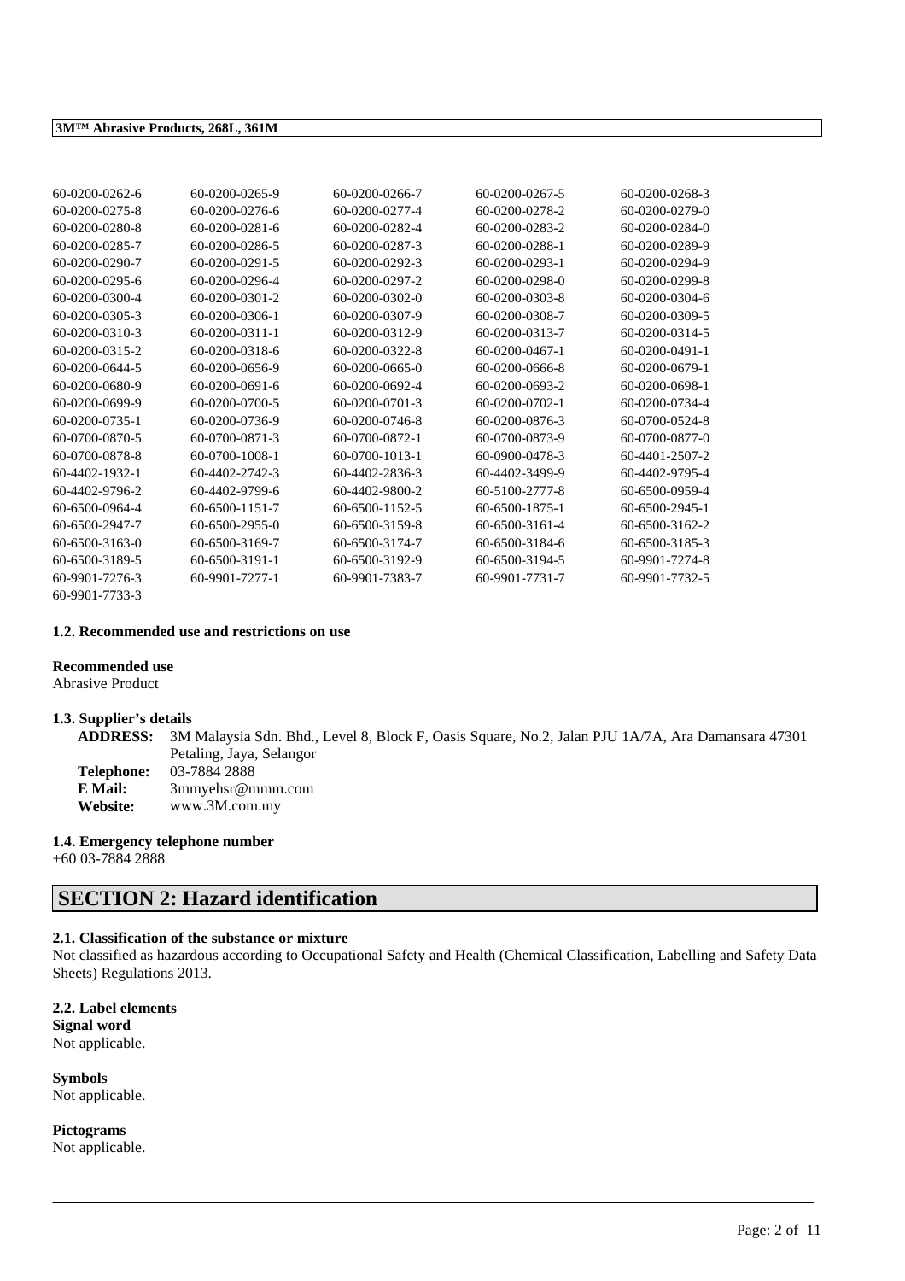| 60-0200-0262-6 | 60-0200-0265-9   | 60-0200-0266-7   | 60-0200-0267-5   | 60-0200-0268-3 |
|----------------|------------------|------------------|------------------|----------------|
| 60-0200-0275-8 | 60-0200-0276-6   | 60-0200-0277-4   | 60-0200-0278-2   | 60-0200-0279-0 |
| 60-0200-0280-8 | $60-0200-0281-6$ | 60-0200-0282-4   | 60-0200-0283-2   | 60-0200-0284-0 |
| 60-0200-0285-7 | 60-0200-0286-5   | 60-0200-0287-3   | 60-0200-0288-1   | 60-0200-0289-9 |
| 60-0200-0290-7 | $60-0200-0291-5$ | 60-0200-0292-3   | $60-0200-0293-1$ | 60-0200-0294-9 |
| 60-0200-0295-6 | 60-0200-0296-4   | 60-0200-0297-2   | 60-0200-0298-0   | 60-0200-0299-8 |
| 60-0200-0300-4 | 60-0200-0301-2   | $60-0200-0302-0$ | 60-0200-0303-8   | 60-0200-0304-6 |
| 60-0200-0305-3 | 60-0200-0306-1   | 60-0200-0307-9   | 60-0200-0308-7   | 60-0200-0309-5 |
| 60-0200-0310-3 | $60-0200-0311-1$ | 60-0200-0312-9   | 60-0200-0313-7   | 60-0200-0314-5 |
| 60-0200-0315-2 | 60-0200-0318-6   | 60-0200-0322-8   | 60-0200-0467-1   | 60-0200-0491-1 |
| 60-0200-0644-5 | 60-0200-0656-9   | $60-0200-0665-0$ | 60-0200-0666-8   | 60-0200-0679-1 |
| 60-0200-0680-9 | $60-0200-0691-6$ | 60-0200-0692-4   | 60-0200-0693-2   | 60-0200-0698-1 |
| 60-0200-0699-9 | 60-0200-0700-5   | $60-0200-0701-3$ | 60-0200-0702-1   | 60-0200-0734-4 |
| 60-0200-0735-1 | 60-0200-0736-9   | 60-0200-0746-8   | 60-0200-0876-3   | 60-0700-0524-8 |
| 60-0700-0870-5 | 60-0700-0871-3   | 60-0700-0872-1   | 60-0700-0873-9   | 60-0700-0877-0 |
| 60-0700-0878-8 | 60-0700-1008-1   | $60-0700-1013-1$ | 60-0900-0478-3   | 60-4401-2507-2 |
| 60-4402-1932-1 | 60-4402-2742-3   | 60-4402-2836-3   | 60-4402-3499-9   | 60-4402-9795-4 |
| 60-4402-9796-2 | 60-4402-9799-6   | 60-4402-9800-2   | 60-5100-2777-8   | 60-6500-0959-4 |
| 60-6500-0964-4 | 60-6500-1151-7   | 60-6500-1152-5   | 60-6500-1875-1   | 60-6500-2945-1 |
| 60-6500-2947-7 | 60-6500-2955-0   | 60-6500-3159-8   | 60-6500-3161-4   | 60-6500-3162-2 |
| 60-6500-3163-0 | 60-6500-3169-7   | 60-6500-3174-7   | 60-6500-3184-6   | 60-6500-3185-3 |
| 60-6500-3189-5 | 60-6500-3191-1   | 60-6500-3192-9   | 60-6500-3194-5   | 60-9901-7274-8 |
| 60-9901-7276-3 | 60-9901-7277-1   | 60-9901-7383-7   | 60-9901-7731-7   | 60-9901-7732-5 |
| 60-9901-7733-3 |                  |                  |                  |                |

#### **1.2. Recommended use and restrictions on use**

### **Recommended use**

Abrasive Product

#### **1.3. Supplier's details**

**ADDRESS:** 3M Malaysia Sdn. Bhd., Level 8, Block F, Oasis Square, No.2, Jalan PJU 1A/7A, Ara Damansara 47301 Petaling, Jaya, Selangor

| Telephone: | 03-7884 2888     |
|------------|------------------|
| E Mail:    | 3mmyehsr@mmm.com |
| Website:   | www.3M.com.my    |

### **1.4. Emergency telephone number**

+60 03-7884 2888

## **SECTION 2: Hazard identification**

#### **2.1. Classification of the substance or mixture**

Not classified as hazardous according to Occupational Safety and Health (Chemical Classification, Labelling and Safety Data Sheets) Regulations 2013.

\_\_\_\_\_\_\_\_\_\_\_\_\_\_\_\_\_\_\_\_\_\_\_\_\_\_\_\_\_\_\_\_\_\_\_\_\_\_\_\_\_\_\_\_\_\_\_\_\_\_\_\_\_\_\_\_\_\_\_\_\_\_\_\_\_\_\_\_\_\_\_\_\_\_\_\_\_\_\_\_\_\_\_\_\_\_\_\_\_\_

**2.2. Label elements Signal word** Not applicable.

**Symbols** Not applicable.

**Pictograms** Not applicable.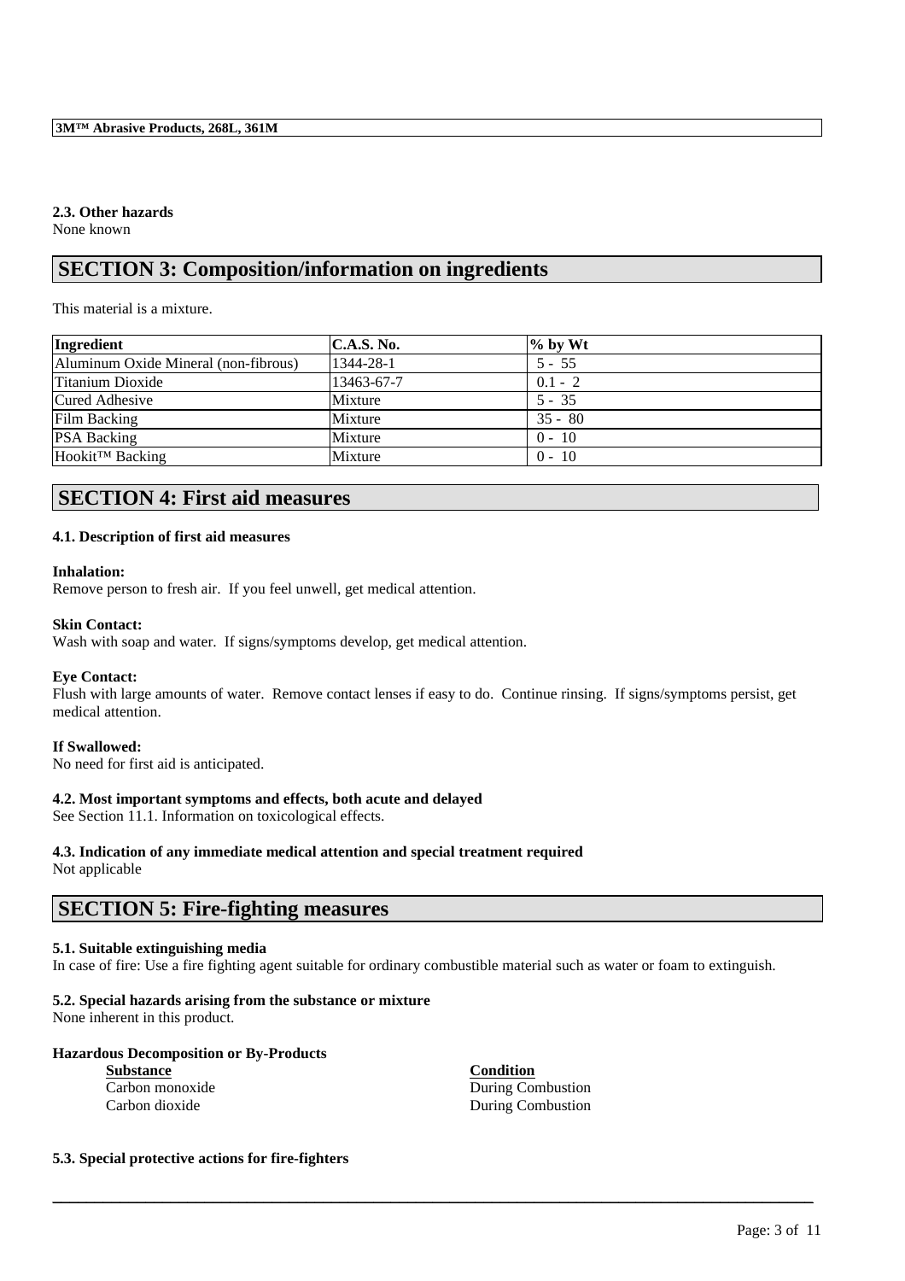### **2.3. Other hazards**

None known

### **SECTION 3: Composition/information on ingredients**

This material is a mixture.

| Ingredient                           | <b>C.A.S. No.</b> | $%$ by Wt |
|--------------------------------------|-------------------|-----------|
| Aluminum Oxide Mineral (non-fibrous) | 1344-28-1         | $5 - 55$  |
| Titanium Dioxide                     | 13463-67-7        | $0.1 - 2$ |
| Cured Adhesive                       | Mixture           | $5 - 35$  |
| Film Backing                         | Mixture           | $35 - 80$ |
| <b>PSA Backing</b>                   | Mixture           | $0 - 10$  |
| Hookit™ Backing                      | Mixture           | $0 - 10$  |

# **SECTION 4: First aid measures**

#### **4.1. Description of first aid measures**

#### **Inhalation:**

Remove person to fresh air. If you feel unwell, get medical attention.

#### **Skin Contact:**

Wash with soap and water. If signs/symptoms develop, get medical attention.

#### **Eye Contact:**

Flush with large amounts of water. Remove contact lenses if easy to do. Continue rinsing. If signs/symptoms persist, get medical attention.

#### **If Swallowed:**

No need for first aid is anticipated.

#### **4.2. Most important symptoms and effects, both acute and delayed**

See Section 11.1. Information on toxicological effects.

# **4.3. Indication of any immediate medical attention and special treatment required**

Not applicable

### **SECTION 5: Fire-fighting measures**

### **5.1. Suitable extinguishing media**

In case of fire: Use a fire fighting agent suitable for ordinary combustible material such as water or foam to extinguish.

\_\_\_\_\_\_\_\_\_\_\_\_\_\_\_\_\_\_\_\_\_\_\_\_\_\_\_\_\_\_\_\_\_\_\_\_\_\_\_\_\_\_\_\_\_\_\_\_\_\_\_\_\_\_\_\_\_\_\_\_\_\_\_\_\_\_\_\_\_\_\_\_\_\_\_\_\_\_\_\_\_\_\_\_\_\_\_\_\_\_

### **5.2. Special hazards arising from the substance or mixture**

None inherent in this product.

### **Hazardous Decomposition or By-Products**

| <b>Substance</b> | Condition         |
|------------------|-------------------|
| Carbon monoxide  | During Combustion |
| Carbon dioxide   | During Combustion |

### **5.3. Special protective actions for fire-fighters**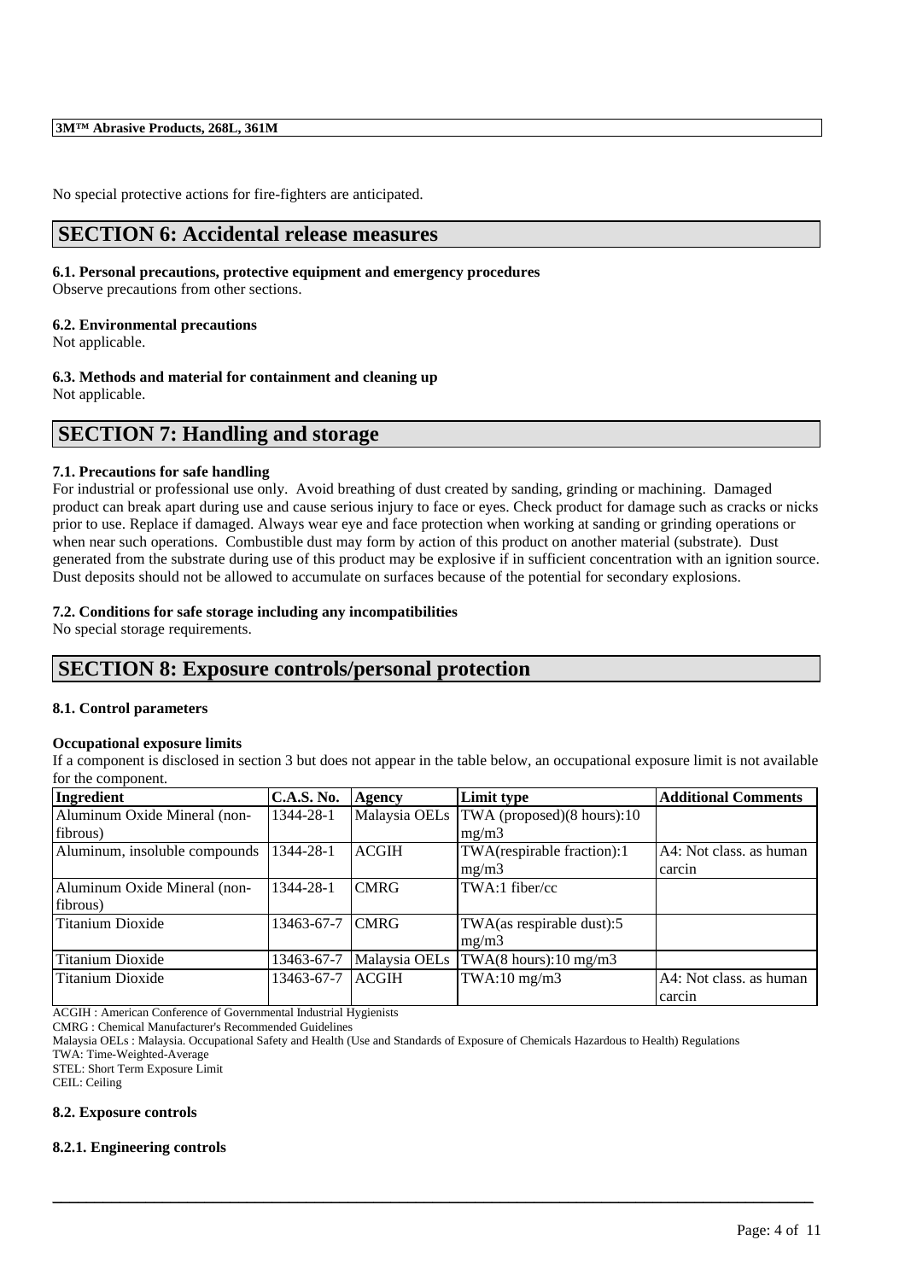No special protective actions for fire-fighters are anticipated.

### **SECTION 6: Accidental release measures**

#### **6.1. Personal precautions, protective equipment and emergency procedures**

Observe precautions from other sections.

#### **6.2. Environmental precautions**

Not applicable.

#### **6.3. Methods and material for containment and cleaning up**

Not applicable.

### **SECTION 7: Handling and storage**

#### **7.1. Precautions for safe handling**

For industrial or professional use only. Avoid breathing of dust created by sanding, grinding or machining. Damaged product can break apart during use and cause serious injury to face or eyes. Check product for damage such as cracks or nicks prior to use. Replace if damaged. Always wear eye and face protection when working at sanding or grinding operations or when near such operations. Combustible dust may form by action of this product on another material (substrate). Dust generated from the substrate during use of this product may be explosive if in sufficient concentration with an ignition source. Dust deposits should not be allowed to accumulate on surfaces because of the potential for secondary explosions.

#### **7.2. Conditions for safe storage including any incompatibilities**

No special storage requirements.

### **SECTION 8: Exposure controls/personal protection**

#### **8.1. Control parameters**

#### **Occupational exposure limits**

If a component is disclosed in section 3 but does not appear in the table below, an occupational exposure limit is not available for the component.

| Ingredient                    | <b>C.A.S. No.</b> | Agency        | Limit type                                   | <b>Additional Comments</b> |
|-------------------------------|-------------------|---------------|----------------------------------------------|----------------------------|
| Aluminum Oxide Mineral (non-  | 1344-28-1         |               | Malaysia OELs   TWA (proposed) (8 hours): 10 |                            |
| fibrous)                      |                   |               | mg/m3                                        |                            |
| Aluminum, insoluble compounds | 1344-28-1         | <b>ACGIH</b>  | TWA(respirable fraction):1                   | A4: Not class. as human    |
|                               |                   |               | mg/m3                                        | carcin                     |
| Aluminum Oxide Mineral (non-  | 1344-28-1         | <b>CMRG</b>   | $TWA:1$ fiber/cc                             |                            |
| fibrous)                      |                   |               |                                              |                            |
| <b>Titanium Dioxide</b>       | 13463-67-7        | <b>CMRG</b>   | TWA(as respirable dust):5                    |                            |
|                               |                   |               | mg/m3                                        |                            |
| Titanium Dioxide              | 13463-67-7        | Malaysia OELs | TWA(8 hours):10 mg/m3                        |                            |
| Titanium Dioxide              | 13463-67-7        | <b>ACGIH</b>  | $TWA:10$ mg/m $3$                            | A4: Not class, as human    |
|                               |                   |               |                                              | carcin                     |

\_\_\_\_\_\_\_\_\_\_\_\_\_\_\_\_\_\_\_\_\_\_\_\_\_\_\_\_\_\_\_\_\_\_\_\_\_\_\_\_\_\_\_\_\_\_\_\_\_\_\_\_\_\_\_\_\_\_\_\_\_\_\_\_\_\_\_\_\_\_\_\_\_\_\_\_\_\_\_\_\_\_\_\_\_\_\_\_\_\_

ACGIH : American Conference of Governmental Industrial Hygienists

CMRG : Chemical Manufacturer's Recommended Guidelines

Malaysia OELs : Malaysia. Occupational Safety and Health (Use and Standards of Exposure of Chemicals Hazardous to Health) Regulations TWA: Time-Weighted-Average

STEL: Short Term Exposure Limit

CEIL: Ceiling

#### **8.2. Exposure controls**

#### **8.2.1. Engineering controls**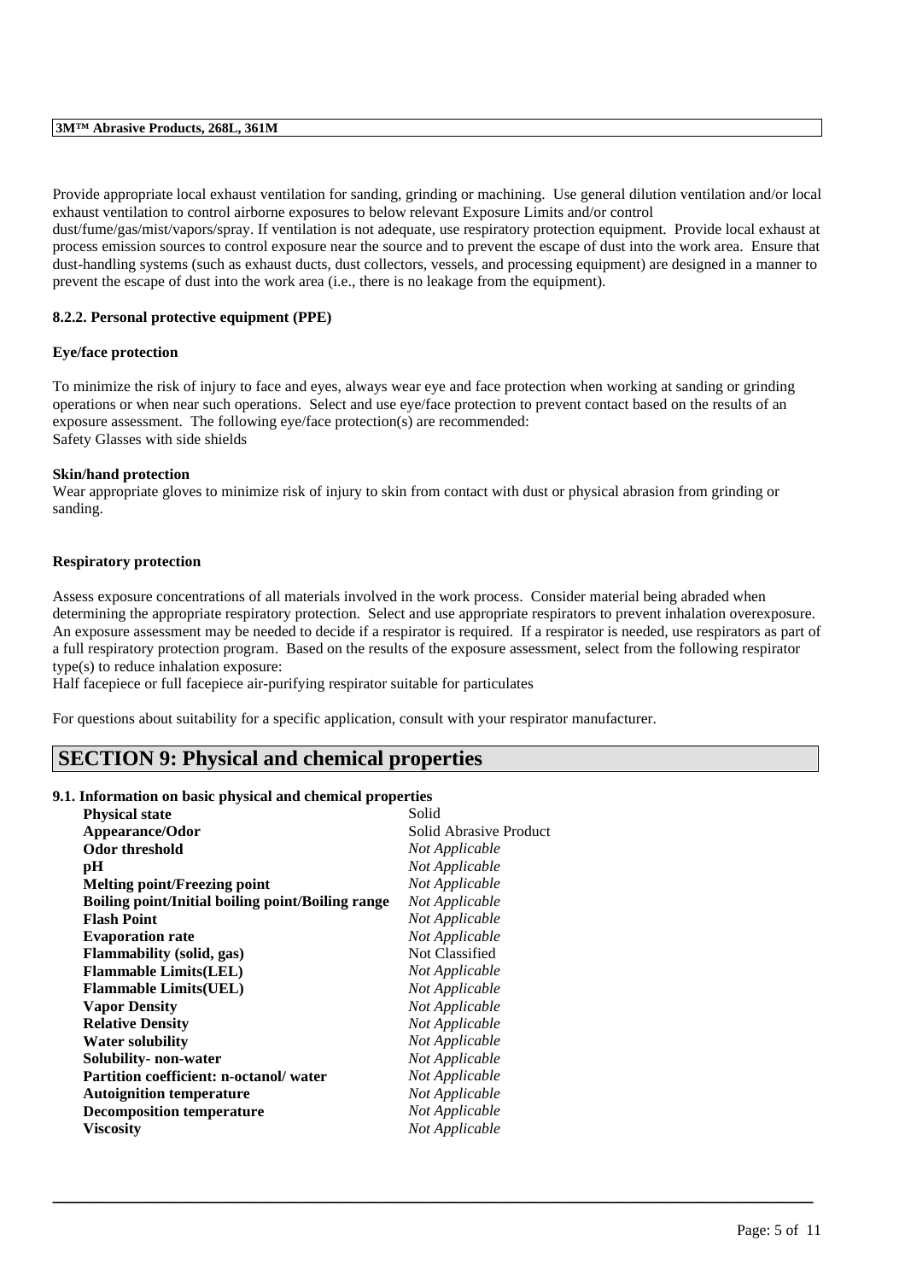Provide appropriate local exhaust ventilation for sanding, grinding or machining. Use general dilution ventilation and/or local exhaust ventilation to control airborne exposures to below relevant Exposure Limits and/or control

dust/fume/gas/mist/vapors/spray. If ventilation is not adequate, use respiratory protection equipment. Provide local exhaust at process emission sources to control exposure near the source and to prevent the escape of dust into the work area. Ensure that dust-handling systems (such as exhaust ducts, dust collectors, vessels, and processing equipment) are designed in a manner to prevent the escape of dust into the work area (i.e., there is no leakage from the equipment).

#### **8.2.2. Personal protective equipment (PPE)**

#### **Eye/face protection**

To minimize the risk of injury to face and eyes, always wear eye and face protection when working at sanding or grinding operations or when near such operations. Select and use eye/face protection to prevent contact based on the results of an exposure assessment. The following eye/face protection(s) are recommended: Safety Glasses with side shields

#### **Skin/hand protection**

Wear appropriate gloves to minimize risk of injury to skin from contact with dust or physical abrasion from grinding or sanding.

#### **Respiratory protection**

Assess exposure concentrations of all materials involved in the work process. Consider material being abraded when determining the appropriate respiratory protection. Select and use appropriate respirators to prevent inhalation overexposure. An exposure assessment may be needed to decide if a respirator is required. If a respirator is needed, use respirators as part of a full respiratory protection program. Based on the results of the exposure assessment, select from the following respirator type(s) to reduce inhalation exposure:

\_\_\_\_\_\_\_\_\_\_\_\_\_\_\_\_\_\_\_\_\_\_\_\_\_\_\_\_\_\_\_\_\_\_\_\_\_\_\_\_\_\_\_\_\_\_\_\_\_\_\_\_\_\_\_\_\_\_\_\_\_\_\_\_\_\_\_\_\_\_\_\_\_\_\_\_\_\_\_\_\_\_\_\_\_\_\_\_\_\_

Half facepiece or full facepiece air-purifying respirator suitable for particulates

For questions about suitability for a specific application, consult with your respirator manufacturer.

### **SECTION 9: Physical and chemical properties**

#### **9.1. Information on basic physical and chemical properties**

| <b>Physical state</b>                             | Solid                  |
|---------------------------------------------------|------------------------|
| Appearance/Odor                                   | Solid Abrasive Product |
| <b>Odor threshold</b>                             | Not Applicable         |
| pH                                                | Not Applicable         |
| <b>Melting point/Freezing point</b>               | Not Applicable         |
| Boiling point/Initial boiling point/Boiling range | Not Applicable         |
| <b>Flash Point</b>                                | Not Applicable         |
| <b>Evaporation rate</b>                           | Not Applicable         |
| <b>Flammability</b> (solid, gas)                  | Not Classified         |
| <b>Flammable Limits(LEL)</b>                      | Not Applicable         |
| <b>Flammable Limits(UEL)</b>                      | Not Applicable         |
| <b>Vapor Density</b>                              | Not Applicable         |
| <b>Relative Density</b>                           | Not Applicable         |
| <b>Water solubility</b>                           | Not Applicable         |
| Solubility- non-water                             | Not Applicable         |
| <b>Partition coefficient: n-octanol/water</b>     | Not Applicable         |
| <b>Autoignition temperature</b>                   | Not Applicable         |
| <b>Decomposition temperature</b>                  | Not Applicable         |
| Viscositv                                         | Not Applicable         |
|                                                   |                        |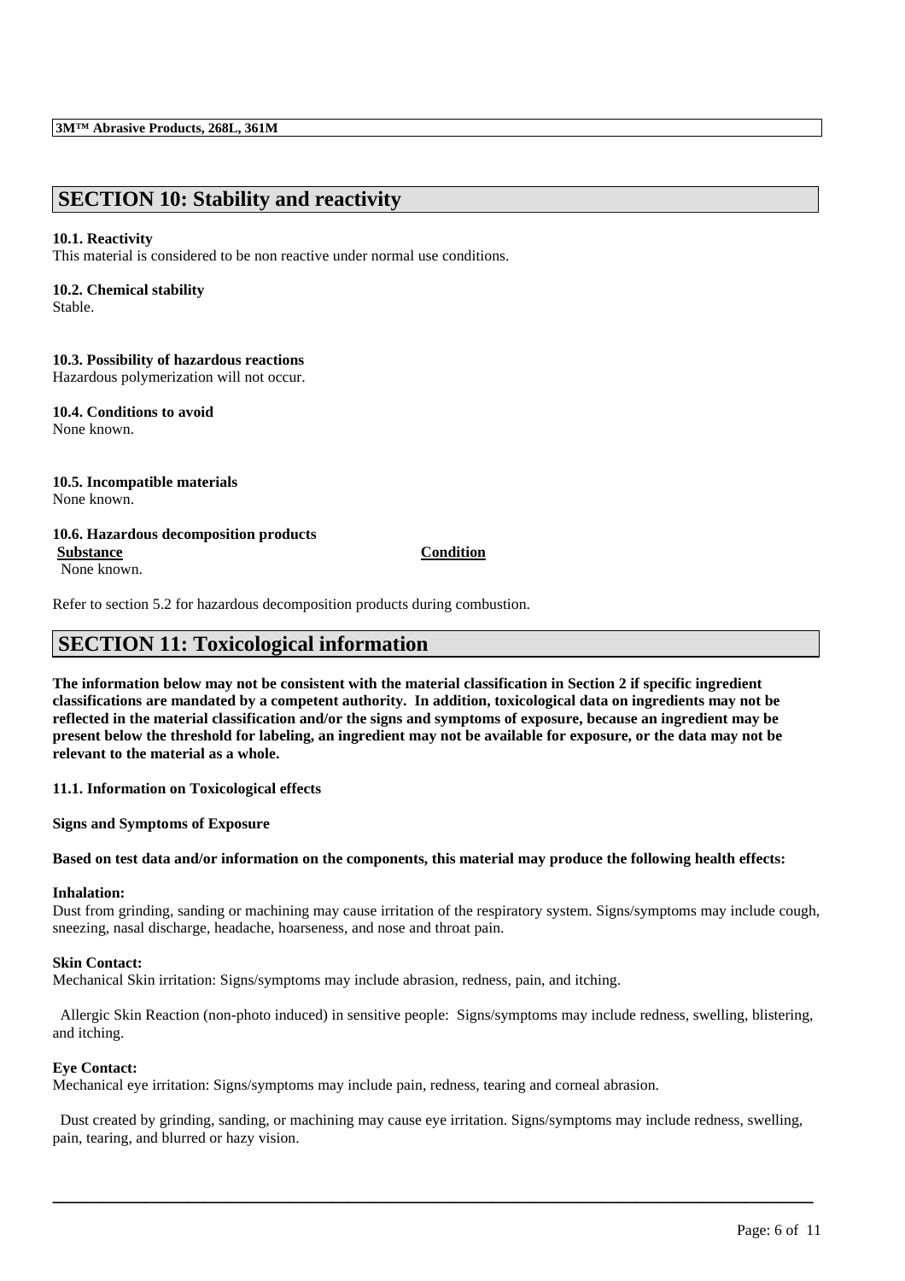### **SECTION 10: Stability and reactivity**

#### **10.1. Reactivity**

This material is considered to be non reactive under normal use conditions.

#### **10.2. Chemical stability**

Stable.

#### **10.3. Possibility of hazardous reactions** Hazardous polymerization will not occur.

**10.4. Conditions to avoid** None known.

#### **10.5. Incompatible materials** None known.

#### **10.6. Hazardous decomposition products Substance Condition** None known.

Refer to section 5.2 for hazardous decomposition products during combustion.

## **SECTION 11: Toxicological information**

**The information below may not be consistent with the material classification in Section 2 if specific ingredient classifications are mandated by a competent authority. In addition, toxicological data on ingredients may not be reflected in the material classification and/or the signs and symptoms of exposure, because an ingredient may be present below the threshold for labeling, an ingredient may not be available for exposure, or the data may not be relevant to the material as a whole.**

**11.1. Information on Toxicological effects**

**Signs and Symptoms of Exposure**

#### **Based on test data and/or information on the components, this material may produce the following health effects:**

### **Inhalation:**

Dust from grinding, sanding or machining may cause irritation of the respiratory system. Signs/symptoms may include cough, sneezing, nasal discharge, headache, hoarseness, and nose and throat pain.

#### **Skin Contact:**

Mechanical Skin irritation: Signs/symptoms may include abrasion, redness, pain, and itching.

Allergic Skin Reaction (non-photo induced) in sensitive people: Signs/symptoms may include redness, swelling, blistering, and itching.

#### **Eye Contact:**

Mechanical eye irritation: Signs/symptoms may include pain, redness, tearing and corneal abrasion.

Dust created by grinding, sanding, or machining may cause eye irritation. Signs/symptoms may include redness, swelling, pain, tearing, and blurred or hazy vision.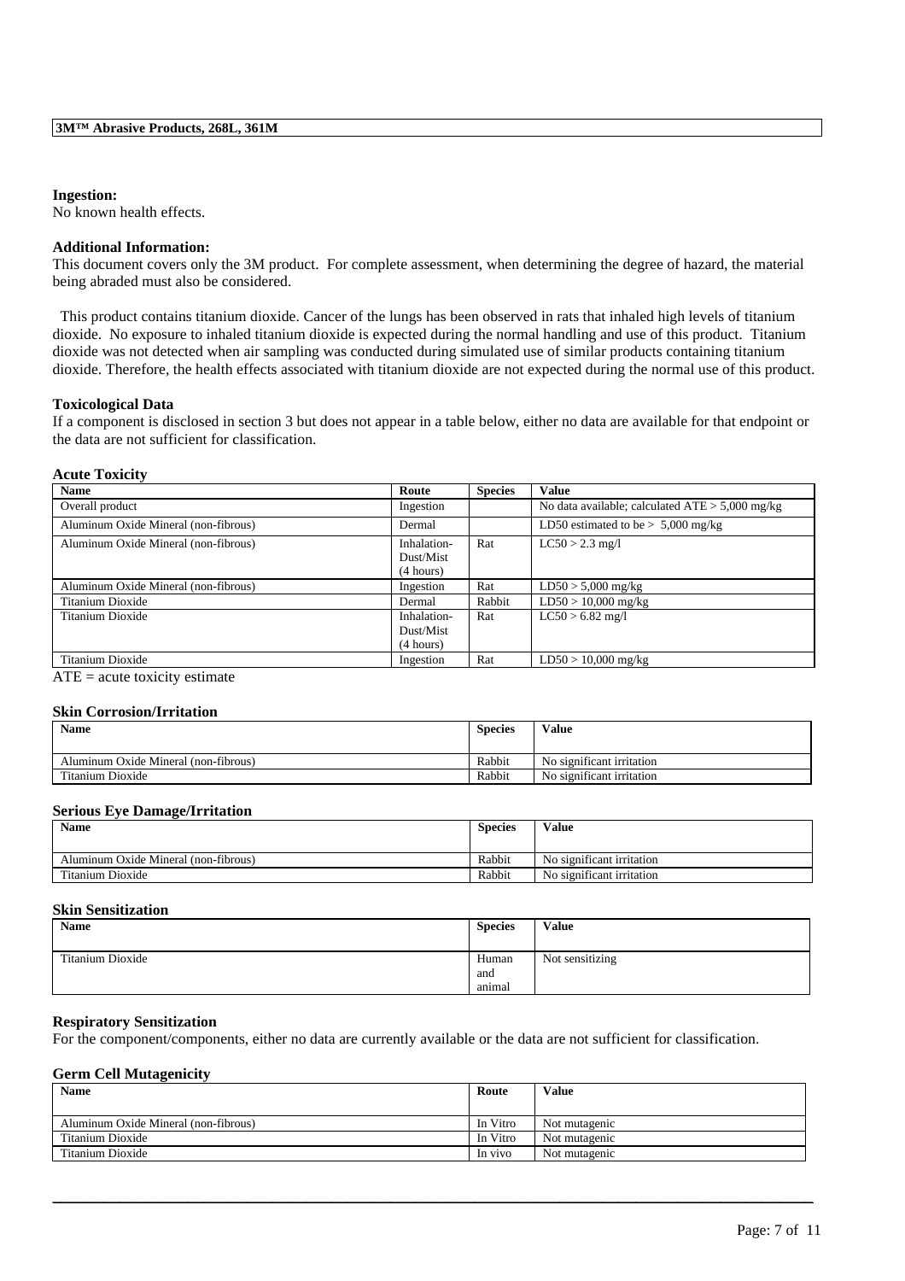#### **Ingestion:**

No known health effects.

#### **Additional Information:**

This document covers only the 3M product. For complete assessment, when determining the degree of hazard, the material being abraded must also be considered.

This product contains titanium dioxide. Cancer of the lungs has been observed in rats that inhaled high levels of titanium dioxide. No exposure to inhaled titanium dioxide is expected during the normal handling and use of this product. Titanium dioxide was not detected when air sampling was conducted during simulated use of similar products containing titanium dioxide. Therefore, the health effects associated with titanium dioxide are not expected during the normal use of this product.

#### **Toxicological Data**

If a component is disclosed in section 3 but does not appear in a table below, either no data are available for that endpoint or the data are not sufficient for classification.

#### **Acute Toxicity**

| <b>Name</b>                          | Route       | <b>Species</b> | <b>Value</b>                                      |
|--------------------------------------|-------------|----------------|---------------------------------------------------|
| Overall product                      | Ingestion   |                | No data available; calculated $ATE > 5,000$ mg/kg |
| Aluminum Oxide Mineral (non-fibrous) | Dermal      |                | LD50 estimated to be $> 5,000$ mg/kg              |
| Aluminum Oxide Mineral (non-fibrous) | Inhalation- | Rat            | $LC50 > 2.3$ mg/l                                 |
|                                      | Dust/Mist   |                |                                                   |
|                                      | (4 hours)   |                |                                                   |
| Aluminum Oxide Mineral (non-fibrous) | Ingestion   | Rat            | $LD50 > 5,000$ mg/kg                              |
| Titanium Dioxide                     | Dermal      | Rabbit         | $LD50 > 10,000$ mg/kg                             |
| Titanium Dioxide                     | Inhalation- | Rat            | $LC50 > 6.82$ mg/l                                |
|                                      | Dust/Mist   |                |                                                   |
|                                      | (4 hours)   |                |                                                   |
| Titanium Dioxide                     | Ingestion   | Rat            | $LD50 > 10,000$ mg/kg                             |

 $ATE = acute toxicity estimate$ 

#### **Skin Corrosion/Irritation**

| <b>Name</b>                          | <b>Species</b> | Value                     |
|--------------------------------------|----------------|---------------------------|
| Aluminum Oxide Mineral (non-fibrous) | Rabbit         | No significant irritation |
| Titanium Dioxide                     | Rabbit         | No significant irritation |

#### **Serious Eye Damage/Irritation**

| <b>Name</b>                          | <b>Species</b> | Value                     |
|--------------------------------------|----------------|---------------------------|
| Aluminum Oxide Mineral (non-fibrous) | Rabbit         | No significant irritation |
| Titanium Dioxide                     | Rabbit         | No significant irritation |

#### **Skin Sensitization**

| <b>Name</b>      | <b>Species</b> | <b>Value</b>    |
|------------------|----------------|-----------------|
| Titanium Dioxide | Human<br>and   | Not sensitizing |
|                  | animal         |                 |

#### **Respiratory Sensitization**

For the component/components, either no data are currently available or the data are not sufficient for classification.

#### **Germ Cell Mutagenicity**

| <b>Name</b>                          | Route    | Value         |
|--------------------------------------|----------|---------------|
| Aluminum Oxide Mineral (non-fibrous) | In Vitro | Not mutagenic |
| Titanium Dioxide                     | In Vitro | Not mutagenic |
| Titanium Dioxide                     | In vivo  | Not mutagenic |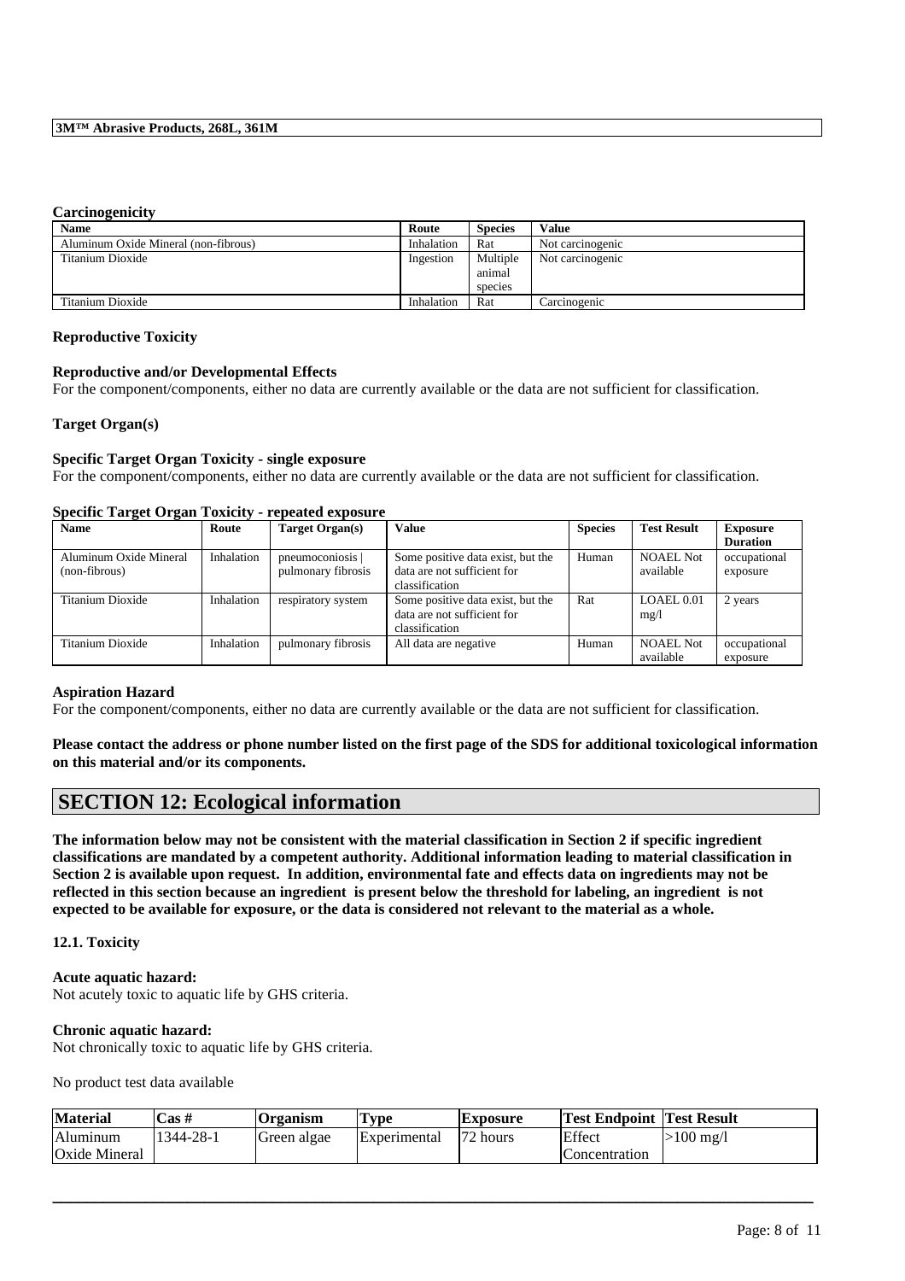#### **Carcinogenicity**

| <b>Name</b>                          | Route      | <b>Species</b> | <b>Value</b>     |
|--------------------------------------|------------|----------------|------------------|
| Aluminum Oxide Mineral (non-fibrous) | Inhalation | Rat            | Not carcinogenic |
| Titanium Dioxide                     | Ingestion  | Multiple       | Not carcinogenic |
|                                      |            | animal         |                  |
|                                      |            | species        |                  |
| Titanium Dioxide                     | Inhalation | Rat            | Carcinogenic     |

#### **Reproductive Toxicity**

#### **Reproductive and/or Developmental Effects**

For the component/components, either no data are currently available or the data are not sufficient for classification.

#### **Target Organ(s)**

#### **Specific Target Organ Toxicity - single exposure**

For the component/components, either no data are currently available or the data are not sufficient for classification.

#### **Specific Target Organ Toxicity - repeated exposure**

| <b>Name</b>            | Route      | Target Organ(s)    | Value                                                            | <b>Species</b> | <b>Test Result</b> | <b>Exposure</b> |
|------------------------|------------|--------------------|------------------------------------------------------------------|----------------|--------------------|-----------------|
|                        |            |                    |                                                                  |                |                    | <b>Duration</b> |
| Aluminum Oxide Mineral | Inhalation | pneumoconiosis     | Some positive data exist, but the                                | Human          | <b>NOAEL Not</b>   | occupational    |
| (non-fibrous)          |            | pulmonary fibrosis | data are not sufficient for                                      |                | available          | exposure        |
|                        |            |                    | classification                                                   |                |                    |                 |
| Titanium Dioxide       | Inhalation | respiratory system | Some positive data exist, but the<br>data are not sufficient for | Rat            | LOAEL 0.01<br>mg/l | 2 years         |
|                        |            |                    | classification                                                   |                |                    |                 |
| Titanium Dioxide       | Inhalation | pulmonary fibrosis | All data are negative                                            | Human          | <b>NOAEL Not</b>   | occupational    |
|                        |            |                    |                                                                  |                | available          | exposure        |

#### **Aspiration Hazard**

For the component/components, either no data are currently available or the data are not sufficient for classification.

**Please contact the address or phone number listed on the first page of the SDS for additional toxicological information on this material and/or its components.**

### **SECTION 12: Ecological information**

**The information below may not be consistent with the material classification in Section 2 if specific ingredient classifications are mandated by a competent authority. Additional information leading to material classification in Section 2 is available upon request. In addition, environmental fate and effects data on ingredients may not be reflected in this section because an ingredient is present below the threshold for labeling, an ingredient is not expected to be available for exposure, or the data is considered not relevant to the material as a whole.**

#### **12.1. Toxicity**

# **Acute aquatic hazard:**

Not acutely toxic to aquatic life by GHS criteria.

#### **Chronic aquatic hazard:**

Not chronically toxic to aquatic life by GHS criteria.

No product test data available

| <b>Material</b> | Cas #     | <b>Organism</b> | $T$ <sub>V</sub> $pe$ | <b> Exposure</b> | <b>Test Endpoint Test Result</b> |           |
|-----------------|-----------|-----------------|-----------------------|------------------|----------------------------------|-----------|
| Aluminum        | 1344-28-1 | Green algae     | Experimental          | 72 hours         | Effect                           | >100 mg/l |
| Oxide Mineral   |           |                 |                       |                  | Concentration                    |           |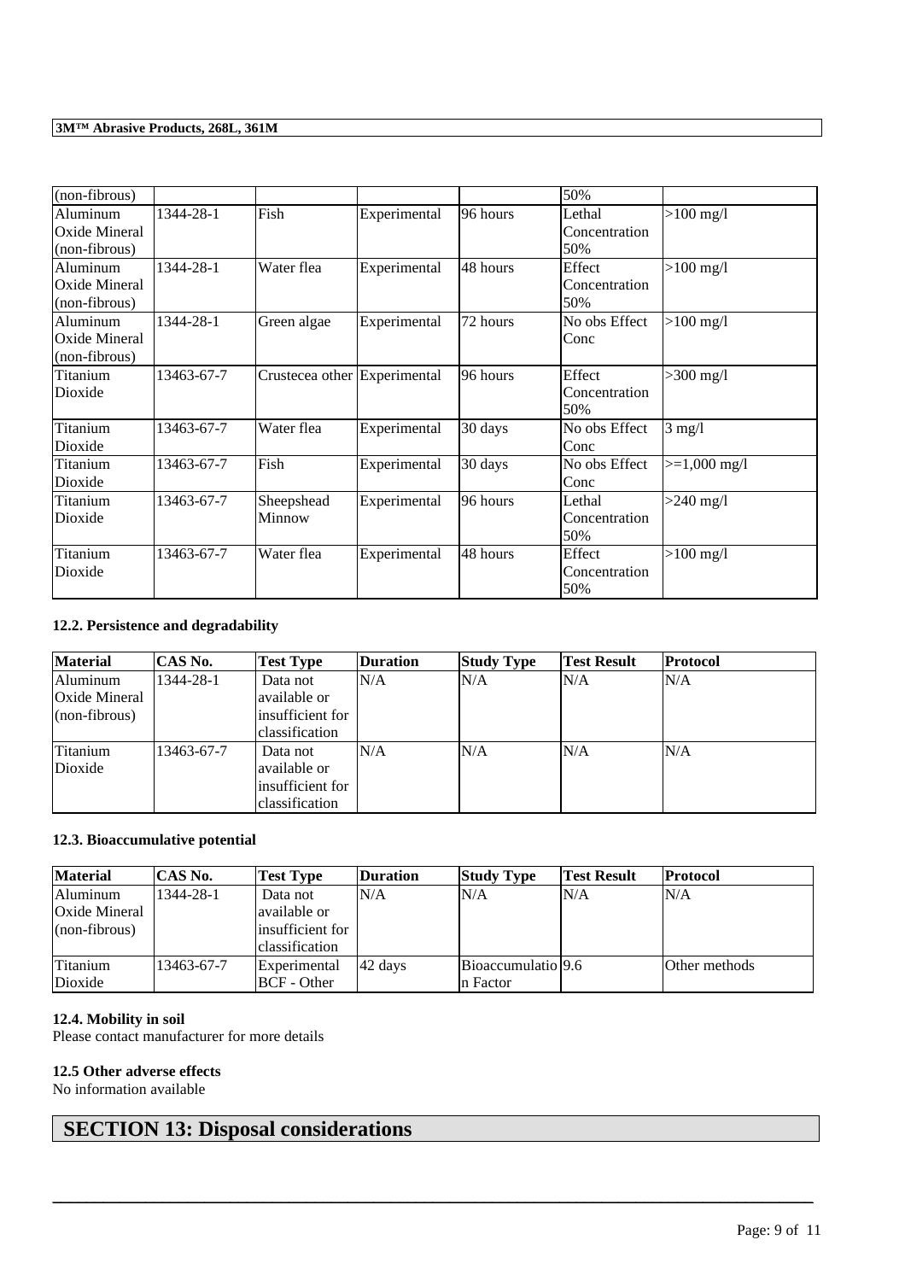| (non-fibrous) |            |                              |              |          | 50%           |                     |
|---------------|------------|------------------------------|--------------|----------|---------------|---------------------|
| Aluminum      | 1344-28-1  | Fish                         | Experimental | 96 hours | Lethal        | $>100 \text{ mg/l}$ |
| Oxide Mineral |            |                              |              |          | Concentration |                     |
| (non-fibrous) |            |                              |              |          | 50%           |                     |
| Aluminum      | 1344-28-1  | Water flea                   | Experimental | 48 hours | Effect        | $>100 \text{ mg/l}$ |
| Oxide Mineral |            |                              |              |          | Concentration |                     |
| (non-fibrous) |            |                              |              |          | 50%           |                     |
| Aluminum      | 1344-28-1  | Green algae                  | Experimental | 72 hours | No obs Effect | $>100 \text{ mg/l}$ |
| Oxide Mineral |            |                              |              |          | Conc          |                     |
| (non-fibrous) |            |                              |              |          |               |                     |
| Titanium      | 13463-67-7 | Crustecea other Experimental |              | 96 hours | Effect        | $>300$ mg/l         |
| Dioxide       |            |                              |              |          | Concentration |                     |
|               |            |                              |              |          | 50%           |                     |
| Titanium      | 13463-67-7 | Water flea                   | Experimental | 30 days  | No obs Effect | $3 \text{ mg}/1$    |
| Dioxide       |            |                              |              |          | Conc          |                     |
| Titanium      | 13463-67-7 | Fish                         | Experimental | 30 days  | No obs Effect | $>=1,000$ mg/l      |
| Dioxide       |            |                              |              |          | Conc          |                     |
| Titanium      | 13463-67-7 | Sheepshead                   | Experimental | 96 hours | Lethal        | $>240$ mg/l         |
| Dioxide       |            | Minnow                       |              |          | Concentration |                     |
|               |            |                              |              |          | 50%           |                     |
| Titanium      | 13463-67-7 | Water flea                   | Experimental | 48 hours | Effect        | $>100 \text{ mg/l}$ |
| Dioxide       |            |                              |              |          | Concentration |                     |
|               |            |                              |              |          | 50%           |                     |

### **12.2. Persistence and degradability**

| <b>Material</b> | CAS No.    | <b>Test Type</b> | <b>Duration</b> | <b>Study Type</b> | <b>Test Result</b> | Protocol |
|-----------------|------------|------------------|-----------------|-------------------|--------------------|----------|
| Aluminum        | 1344-28-1  | Data not         | N/A             | N/A               | N/A                | N/A      |
| Oxide Mineral   |            | available or     |                 |                   |                    |          |
| $(non-fibrous)$ |            | insufficient for |                 |                   |                    |          |
|                 |            | classification   |                 |                   |                    |          |
| lTitanium       | 13463-67-7 | Data not         | N/A             | N/A               | N/A                | N/A      |
| Dioxide         |            | available or     |                 |                   |                    |          |
|                 |            | insufficient for |                 |                   |                    |          |
|                 |            | classification   |                 |                   |                    |          |

### **12.3. Bioaccumulative potential**

| <b>Material</b>   | CAS No.    | <b>Test Type</b>   | <b>Duration</b> | <b>Study Type</b>  | <b>Test Result</b> | <b>Protocol</b> |
|-------------------|------------|--------------------|-----------------|--------------------|--------------------|-----------------|
| Aluminum          | 1344-28-1  | Data not           | N/A             | N/A                | N/A                | N/A             |
| Oxide Mineral     |            | available or       |                 |                    |                    |                 |
| $\ln$ on-fibrous) |            | insufficient for   |                 |                    |                    |                 |
|                   |            | classification     |                 |                    |                    |                 |
| Titanium          | 13463-67-7 | Experimental       | 42 days         | Bioaccumulatio 9.6 |                    | Other methods   |
| Dioxide           |            | <b>BCF</b> - Other |                 | n Factor           |                    |                 |

\_\_\_\_\_\_\_\_\_\_\_\_\_\_\_\_\_\_\_\_\_\_\_\_\_\_\_\_\_\_\_\_\_\_\_\_\_\_\_\_\_\_\_\_\_\_\_\_\_\_\_\_\_\_\_\_\_\_\_\_\_\_\_\_\_\_\_\_\_\_\_\_\_\_\_\_\_\_\_\_\_\_\_\_\_\_\_\_\_\_

#### **12.4. Mobility in soil**

Please contact manufacturer for more details

#### **12.5 Other adverse effects**

No information available

# **SECTION 13: Disposal considerations**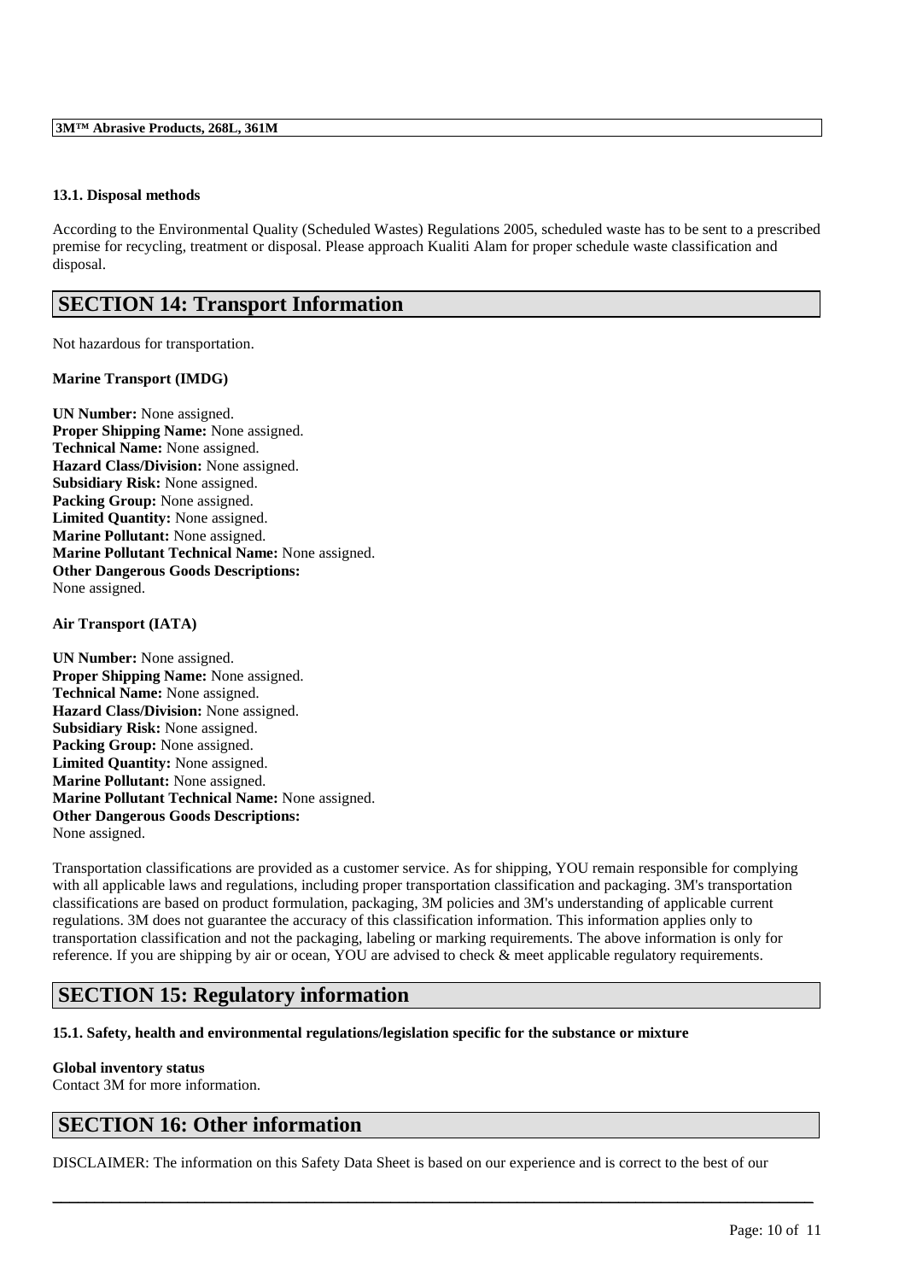#### **13.1. Disposal methods**

According to the Environmental Quality (Scheduled Wastes) Regulations 2005, scheduled waste has to be sent to a prescribed premise for recycling, treatment or disposal. Please approach Kualiti Alam for proper schedule waste classification and disposal.

### **SECTION 14: Transport Information**

Not hazardous for transportation.

#### **Marine Transport (IMDG)**

**UN Number:** None assigned. **Proper Shipping Name:** None assigned. **Technical Name:** None assigned. **Hazard Class/Division:** None assigned. **Subsidiary Risk:** None assigned. **Packing Group:** None assigned. **Limited Quantity:** None assigned. **Marine Pollutant:** None assigned. **Marine Pollutant Technical Name:** None assigned. **Other Dangerous Goods Descriptions:** None assigned.

#### **Air Transport (IATA)**

**UN Number:** None assigned. **Proper Shipping Name:** None assigned. **Technical Name:** None assigned. **Hazard Class/Division:** None assigned. **Subsidiary Risk:** None assigned. Packing Group: None assigned. **Limited Quantity:** None assigned. **Marine Pollutant:** None assigned. **Marine Pollutant Technical Name:** None assigned. **Other Dangerous Goods Descriptions:** None assigned.

Transportation classifications are provided as a customer service. As for shipping, YOU remain responsible for complying with all applicable laws and regulations, including proper transportation classification and packaging. 3M's transportation classifications are based on product formulation, packaging, 3M policies and 3M's understanding of applicable current regulations. 3M does not guarantee the accuracy of this classification information. This information applies only to transportation classification and not the packaging, labeling or marking requirements. The above information is only for reference. If you are shipping by air or ocean, YOU are advised to check & meet applicable regulatory requirements.

### **SECTION 15: Regulatory information**

#### **15.1. Safety, health and environmental regulations/legislation specific for the substance or mixture**

## **Global inventory status**

Contact 3M for more information.

### **SECTION 16: Other information**

DISCLAIMER: The information on this Safety Data Sheet is based on our experience and is correct to the best of our